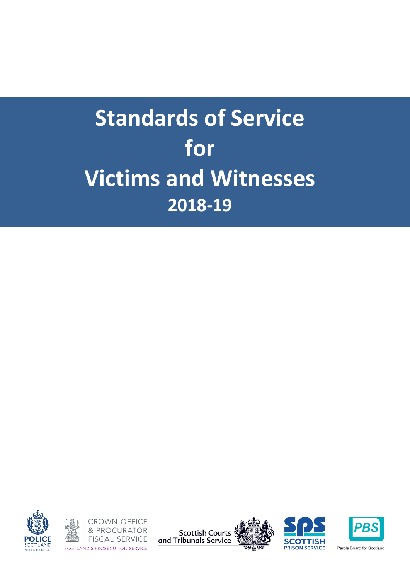







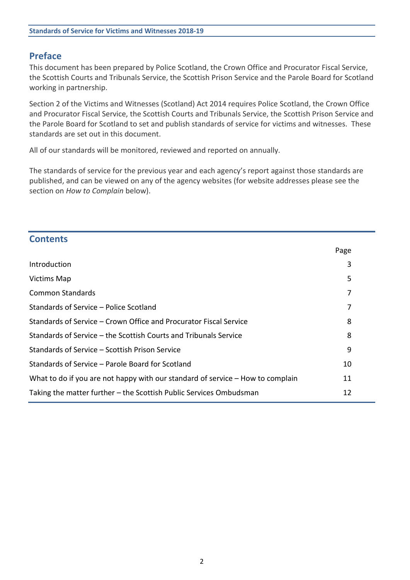## **Preface**

This document has been prepared by Police Scotland, the Crown Office and Procurator Fiscal Service, the Scottish Courts and Tribunals Service, the Scottish Prison Service and the Parole Board for Scotland working in partnership.

Section 2 of the Victims and Witnesses (Scotland) Act 2014 requires Police Scotland, the Crown Office and Procurator Fiscal Service, the Scottish Courts and Tribunals Service, the Scottish Prison Service and the Parole Board for Scotland to set and publish standards of service for victims and witnesses. These standards are set out in this document.

All of our standards will be monitored, reviewed and reported on annually.

The standards of service for the previous year and each agency's report against those standards are published, and can be viewed on any of the agency websites (for website addresses please see the section on *How to Complain* below).

| <b>Contents</b>                                                                |      |
|--------------------------------------------------------------------------------|------|
|                                                                                | Page |
| Introduction                                                                   | 3    |
| <b>Victims Map</b>                                                             | 5    |
| <b>Common Standards</b>                                                        | 7    |
| Standards of Service - Police Scotland                                         | 7    |
| Standards of Service – Crown Office and Procurator Fiscal Service              | 8    |
| Standards of Service – the Scottish Courts and Tribunals Service               | 8    |
| Standards of Service - Scottish Prison Service                                 | 9    |
| Standards of Service - Parole Board for Scotland                               | 10   |
| What to do if you are not happy with our standard of service - How to complain | 11   |
| Taking the matter further – the Scottish Public Services Ombudsman<br>12       |      |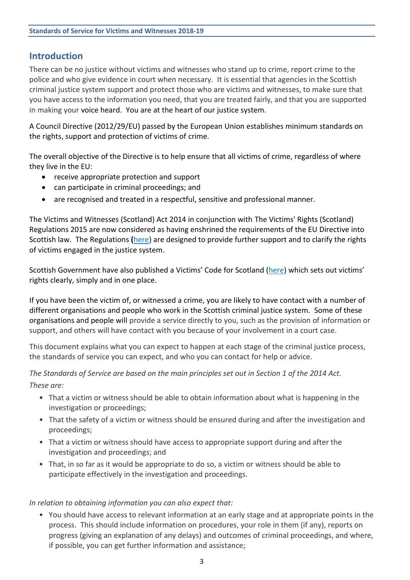## **Introduction**

There can be no justice without victims and witnesses who stand up to crime, report crime to the police and who give evidence in court when necessary. It is essential that agencies in the Scottish criminal justice system support and protect those who are victims and witnesses, to make sure that you have access to the information you need, that you are treated fairly, and that you are supported in making your voice heard. You are at the heart of our justice system.

A Council Directive (2012/29/EU) passed by the European Union establishes minimum standards on the rights, support and protection of victims of crime.

The overall objective of the Directive is to help ensure that all victims of crime, regardless of where they live in the EU:

- receive appropriate protection and support
- can participate in criminal proceedings; and
- are recognised and treated in a respectful, sensitive and professional manner.

The Victims and Witnesses (Scotland) Act 2014 in conjunction with The Victims' Rights (Scotland) Regulations 2015 are now considered as having enshrined the requirements of the EU Directive into Scottish law. The Regulations **(**[here\)](http://www.legislation.gov.uk/ssi/2015/444/contents/made) are designed to provide further support and to clarify the rights of victims engaged in the justice system.

Scottish Government have also published a Victims' Code for Scotland ([here](https://www.mygov.scot/victim-witness-rights/)) which sets out victims' rights clearly, simply and in one place.

If you have been the victim of, or witnessed a crime, you are likely to have contact with a number of different organisations and people who work in the Scottish criminal justice system. Some of these organisations and people will provide a service directly to you, such as the provision of information or support, and others will have contact with you because of your involvement in a court case.

This document explains what you can expect to happen at each stage of the criminal justice process, the standards of service you can expect, and who you can contact for help or advice.

*The Standards of Service are based on the main principles set out in Section 1 of the 2014 Act. These are:*

- That a victim or witness should be able to obtain information about what is happening in the investigation or proceedings;
- That the safety of a victim or witness should be ensured during and after the investigation and proceedings;
- That a victim or witness should have access to appropriate support during and after the investigation and proceedings; and
- That, in so far as it would be appropriate to do so, a victim or witness should be able to participate effectively in the investigation and proceedings.

#### *In relation to obtaining information you can also expect that:*

• You should have access to relevant information at an early stage and at appropriate points in the process. This should include information on procedures, your role in them (if any), reports on progress (giving an explanation of any delays) and outcomes of criminal proceedings, and where, if possible, you can get further information and assistance;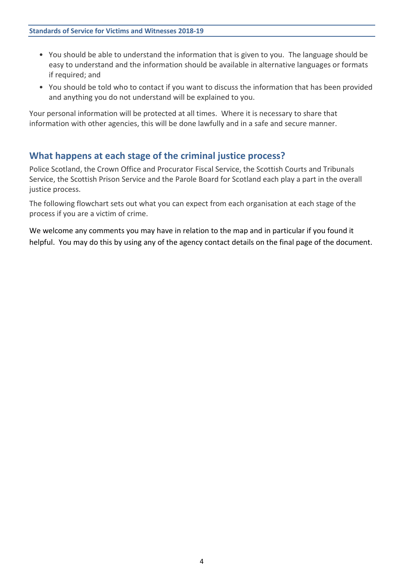- You should be able to understand the information that is given to you. The language should be easy to understand and the information should be available in alternative languages or formats if required; and
- You should be told who to contact if you want to discuss the information that has been provided and anything you do not understand will be explained to you.

Your personal information will be protected at all times. Where it is necessary to share that information with other agencies, this will be done lawfully and in a safe and secure manner.

## **What happens at each stage of the criminal justice process?**

Police Scotland, the Crown Office and Procurator Fiscal Service, the Scottish Courts and Tribunals Service, the Scottish Prison Service and the Parole Board for Scotland each play a part in the overall justice process.

The following flowchart sets out what you can expect from each organisation at each stage of the process if you are a victim of crime.

We welcome any comments you may have in relation to the map and in particular if you found it helpful. You may do this by using any of the agency contact details on the final page of the document.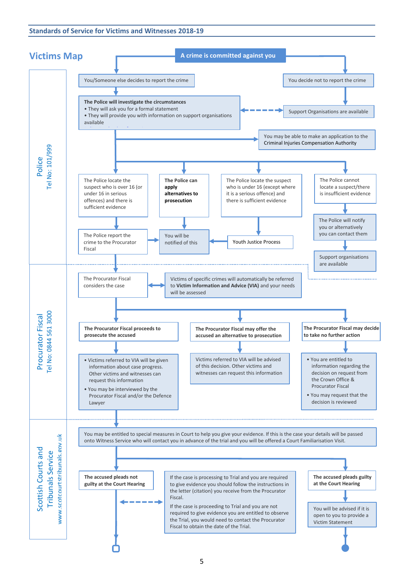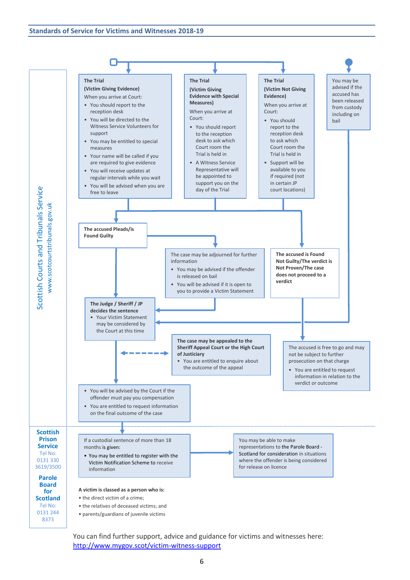

You can find further support, advice and guidance for victims and witnesses here: <http://www.mygov.scot/victim-witness-support>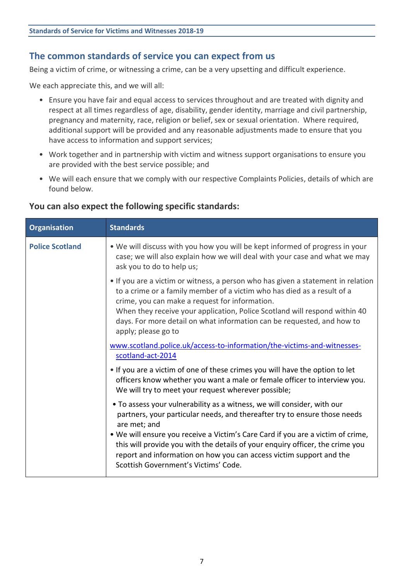## **The common standards of service you can expect from us**

Being a victim of crime, or witnessing a crime, can be a very upsetting and difficult experience.

We each appreciate this, and we will all:

- Ensure you have fair and equal access to services throughout and are treated with dignity and respect at all times regardless of age, disability, gender identity, marriage and civil partnership, pregnancy and maternity, race, religion or belief, sex or sexual orientation. Where required, additional support will be provided and any reasonable adjustments made to ensure that you have access to information and support services;
- Work together and in partnership with victim and witness support organisations to ensure you are provided with the best service possible; and
- We will each ensure that we comply with our respective Complaints Policies, details of which are found below.

#### **You can also expect the following specific standards:**

| <b>Organisation</b>    | <b>Standards</b>                                                                                                                                                                                                                                                                                                                                                                                                                                        |
|------------------------|---------------------------------------------------------------------------------------------------------------------------------------------------------------------------------------------------------------------------------------------------------------------------------------------------------------------------------------------------------------------------------------------------------------------------------------------------------|
| <b>Police Scotland</b> | . We will discuss with you how you will be kept informed of progress in your<br>case; we will also explain how we will deal with your case and what we may<br>ask you to do to help us;                                                                                                                                                                                                                                                                 |
|                        | • If you are a victim or witness, a person who has given a statement in relation<br>to a crime or a family member of a victim who has died as a result of a<br>crime, you can make a request for information.<br>When they receive your application, Police Scotland will respond within 40<br>days. For more detail on what information can be requested, and how to<br>apply; please go to                                                            |
|                        | www.scotland.police.uk/access-to-information/the-victims-and-witnesses-<br>scotland-act-2014                                                                                                                                                                                                                                                                                                                                                            |
|                        | . If you are a victim of one of these crimes you will have the option to let<br>officers know whether you want a male or female officer to interview you.<br>We will try to meet your request wherever possible;                                                                                                                                                                                                                                        |
|                        | • To assess your vulnerability as a witness, we will consider, with our<br>partners, your particular needs, and thereafter try to ensure those needs<br>are met; and<br>. We will ensure you receive a Victim's Care Card if you are a victim of crime,<br>this will provide you with the details of your enquiry officer, the crime you<br>report and information on how you can access victim support and the<br>Scottish Government's Victims' Code. |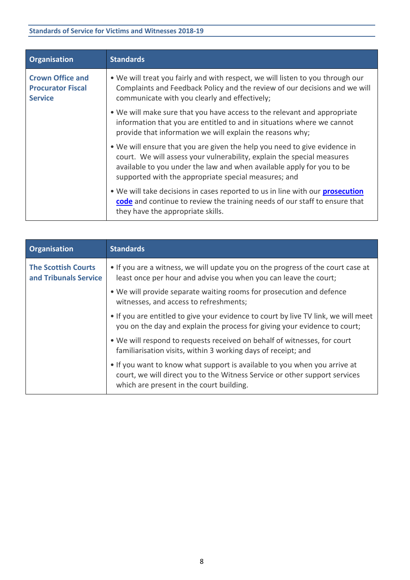| <b>Organisation</b>                                                   | <b>Standards</b>                                                                                                                                                                                                                                                                     |
|-----------------------------------------------------------------------|--------------------------------------------------------------------------------------------------------------------------------------------------------------------------------------------------------------------------------------------------------------------------------------|
| <b>Crown Office and</b><br><b>Procurator Fiscal</b><br><b>Service</b> | . We will treat you fairly and with respect, we will listen to you through our<br>Complaints and Feedback Policy and the review of our decisions and we will<br>communicate with you clearly and effectively;                                                                        |
|                                                                       | • We will make sure that you have access to the relevant and appropriate<br>information that you are entitled to and in situations where we cannot<br>provide that information we will explain the reasons why;                                                                      |
|                                                                       | • We will ensure that you are given the help you need to give evidence in<br>court. We will assess your vulnerability, explain the special measures<br>available to you under the law and when available apply for you to be<br>supported with the appropriate special measures; and |
|                                                                       | . We will take decisions in cases reported to us in line with our <b>prosecution</b><br>code and continue to review the training needs of our staff to ensure that<br>they have the appropriate skills.                                                                              |

| <b>Organisation</b>                                 | <b>Standards</b>                                                                                                                                                                                    |
|-----------------------------------------------------|-----------------------------------------------------------------------------------------------------------------------------------------------------------------------------------------------------|
| <b>The Scottish Courts</b><br>and Tribunals Service | • If you are a witness, we will update you on the progress of the court case at<br>least once per hour and advise you when you can leave the court;                                                 |
|                                                     | . We will provide separate waiting rooms for prosecution and defence<br>witnesses, and access to refreshments;                                                                                      |
|                                                     | . If you are entitled to give your evidence to court by live TV link, we will meet<br>you on the day and explain the process for giving your evidence to court;                                     |
|                                                     | . We will respond to requests received on behalf of witnesses, for court<br>familiarisation visits, within 3 working days of receipt; and                                                           |
|                                                     | . If you want to know what support is available to you when you arrive at<br>court, we will direct you to the Witness Service or other support services<br>which are present in the court building. |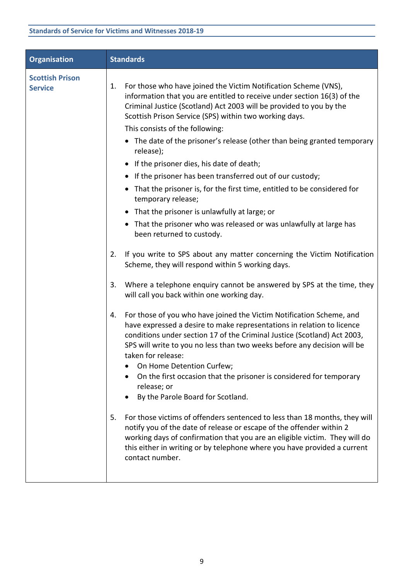| Organisation                             | <b>Standards</b>                                                                                                                                                                                                                                                                                                                                                                                                                                                                                                                                                                                                                                                                                                                                                                                                                                                                                                                                                                                                                                                                                                                                                                                                                                                                                                                                                                                                                                                                                                                                                                                                                                                                                                                                                                                                                                                                                 |
|------------------------------------------|--------------------------------------------------------------------------------------------------------------------------------------------------------------------------------------------------------------------------------------------------------------------------------------------------------------------------------------------------------------------------------------------------------------------------------------------------------------------------------------------------------------------------------------------------------------------------------------------------------------------------------------------------------------------------------------------------------------------------------------------------------------------------------------------------------------------------------------------------------------------------------------------------------------------------------------------------------------------------------------------------------------------------------------------------------------------------------------------------------------------------------------------------------------------------------------------------------------------------------------------------------------------------------------------------------------------------------------------------------------------------------------------------------------------------------------------------------------------------------------------------------------------------------------------------------------------------------------------------------------------------------------------------------------------------------------------------------------------------------------------------------------------------------------------------------------------------------------------------------------------------------------------------|
| <b>Scottish Prison</b><br><b>Service</b> | For those who have joined the Victim Notification Scheme (VNS),<br>1.<br>information that you are entitled to receive under section 16(3) of the<br>Criminal Justice (Scotland) Act 2003 will be provided to you by the<br>Scottish Prison Service (SPS) within two working days.<br>This consists of the following:<br>• The date of the prisoner's release (other than being granted temporary<br>release);<br>• If the prisoner dies, his date of death;<br>• If the prisoner has been transferred out of our custody;<br>• That the prisoner is, for the first time, entitled to be considered for<br>temporary release;<br>• That the prisoner is unlawfully at large; or<br>• That the prisoner who was released or was unlawfully at large has<br>been returned to custody.<br>If you write to SPS about any matter concerning the Victim Notification<br>2.<br>Scheme, they will respond within 5 working days.<br>Where a telephone enquiry cannot be answered by SPS at the time, they<br>3.<br>will call you back within one working day.<br>For those of you who have joined the Victim Notification Scheme, and<br>4.<br>have expressed a desire to make representations in relation to licence<br>conditions under section 17 of the Criminal Justice (Scotland) Act 2003,<br>SPS will write to you no less than two weeks before any decision will be<br>taken for release:<br>On Home Detention Curfew;<br>٠<br>On the first occasion that the prisoner is considered for temporary<br>release; or<br>By the Parole Board for Scotland.<br>For those victims of offenders sentenced to less than 18 months, they will<br>5.<br>notify you of the date of release or escape of the offender within 2<br>working days of confirmation that you are an eligible victim. They will do<br>this either in writing or by telephone where you have provided a current<br>contact number. |
|                                          |                                                                                                                                                                                                                                                                                                                                                                                                                                                                                                                                                                                                                                                                                                                                                                                                                                                                                                                                                                                                                                                                                                                                                                                                                                                                                                                                                                                                                                                                                                                                                                                                                                                                                                                                                                                                                                                                                                  |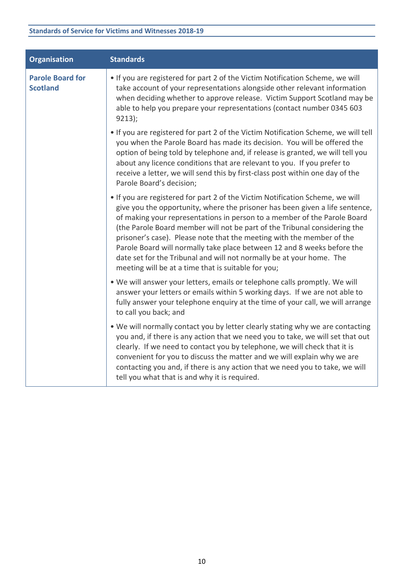| <b>Organisation</b>                        | <b>Standards</b>                                                                                                                                                                                                                                                                                                                                                                                                                                                                                                                                                                                          |
|--------------------------------------------|-----------------------------------------------------------------------------------------------------------------------------------------------------------------------------------------------------------------------------------------------------------------------------------------------------------------------------------------------------------------------------------------------------------------------------------------------------------------------------------------------------------------------------------------------------------------------------------------------------------|
| <b>Parole Board for</b><br><b>Scotland</b> | • If you are registered for part 2 of the Victim Notification Scheme, we will<br>take account of your representations alongside other relevant information<br>when deciding whether to approve release. Victim Support Scotland may be<br>able to help you prepare your representations (contact number 0345 603<br>9213);                                                                                                                                                                                                                                                                                |
|                                            | . If you are registered for part 2 of the Victim Notification Scheme, we will tell<br>you when the Parole Board has made its decision. You will be offered the<br>option of being told by telephone and, if release is granted, we will tell you<br>about any licence conditions that are relevant to you. If you prefer to<br>receive a letter, we will send this by first-class post within one day of the<br>Parole Board's decision;                                                                                                                                                                  |
|                                            | • If you are registered for part 2 of the Victim Notification Scheme, we will<br>give you the opportunity, where the prisoner has been given a life sentence,<br>of making your representations in person to a member of the Parole Board<br>(the Parole Board member will not be part of the Tribunal considering the<br>prisoner's case). Please note that the meeting with the member of the<br>Parole Board will normally take place between 12 and 8 weeks before the<br>date set for the Tribunal and will not normally be at your home. The<br>meeting will be at a time that is suitable for you; |
|                                            | . We will answer your letters, emails or telephone calls promptly. We will<br>answer your letters or emails within 5 working days. If we are not able to<br>fully answer your telephone enquiry at the time of your call, we will arrange<br>to call you back; and                                                                                                                                                                                                                                                                                                                                        |
|                                            | . We will normally contact you by letter clearly stating why we are contacting<br>you and, if there is any action that we need you to take, we will set that out<br>clearly. If we need to contact you by telephone, we will check that it is<br>convenient for you to discuss the matter and we will explain why we are<br>contacting you and, if there is any action that we need you to take, we will<br>tell you what that is and why it is required.                                                                                                                                                 |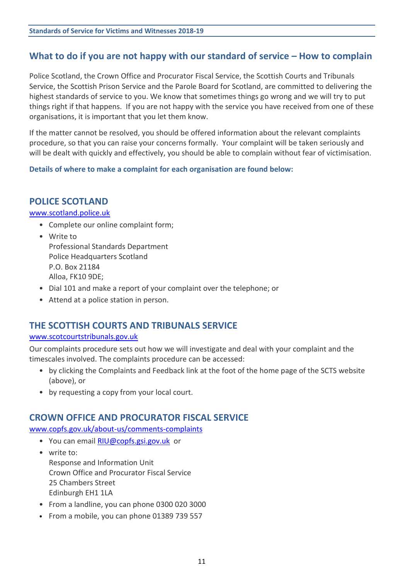# **What to do if you are not happy with our standard of service – How to complain**

Police Scotland, the Crown Office and Procurator Fiscal Service, the Scottish Courts and Tribunals Service, the Scottish Prison Service and the Parole Board for Scotland, are committed to delivering the highest standards of service to you. We know that sometimes things go wrong and we will try to put things right if that happens. If you are not happy with the service you have received from one of these organisations, it is important that you let them know.

If the matter cannot be resolved, you should be offered information about the relevant complaints procedure, so that you can raise your concerns formally. Your complaint will be taken seriously and will be dealt with quickly and effectively, you should be able to complain without fear of victimisation.

#### **Details of where to make a complaint for each organisation are found below:**

## **POLICE SCOTLAND**

#### [www.scotland.police.uk](http://www.scotland.police.uk/)

- Complete our online complaint form;
- Write to Professional Standards Department Police Headquarters Scotland P.O. Box 21184 Alloa, FK10 9DE;
- Dial 101 and make a report of your complaint over the telephone; or
- Attend at a police station in person.

## **THE SCOTTISH COURTS AND TRIBUNALS SERVICE**

#### [www.scotcourtstribunals.gov.uk](http://www.scotcourtstribunals.gov.uk/)

Our complaints procedure sets out how we will investigate and deal with your complaint and the timescales involved. The complaints procedure can be accessed:

- by clicking the Complaints and Feedback link at the foot of the home page of the SCTS website (above), or
- by requesting a copy from your local court.

## **CROWN OFFICE AND PROCURATOR FISCAL SERVICE**

[www.copfs.gov.uk/about-us/comments-complaints](http://www.copfs.gov.uk/about-us/comments-complaints)

- You can email [RIU@copfs.gsi.gov.uk](mailto:RIU@copfs.gsi.gov.uk) or
- write to: Response and Information Unit Crown Office and Procurator Fiscal Service 25 Chambers Street Edinburgh EH1 1LA
- From a landline, you can phone 0300 020 3000
- From a mobile, you can phone 01389 739 557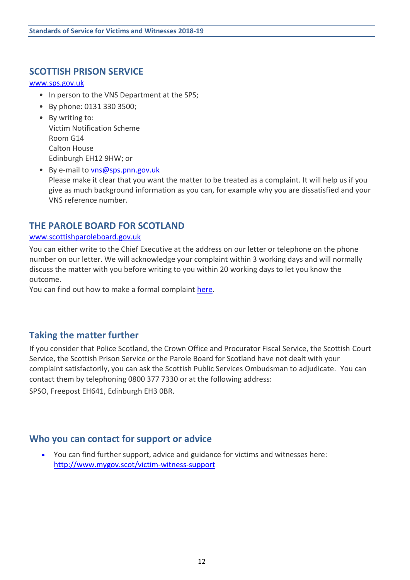## **SCOTTISH PRISON SERVICE**

#### [www.sps.gov.uk](http://www.sps.gov.uk/)

- In person to the VNS Department at the SPS;
- By phone: 0131 330 3500;
- By writing to: Victim Notification Scheme Room G14 Calton House Edinburgh EH12 9HW; or
- By e-mail to [vns@sps.pnn.gov.uk](mailto:vns@sps.pnn.gov.uk) Please make it clear that you want the matter to be treated as a complaint. It will help us if you give as much background information as you can, for example why you are dissatisfied and your VNS reference number.

## **THE PAROLE BOARD FOR SCOTLAND**

#### [www.scottishparoleboard.gov.uk](http://www.scottishparoleboard.gov.uk/)

You can either write to the Chief Executive at the address on our letter or telephone on the phone number on our letter. We will acknowledge your complaint within 3 working days and will normally discuss the matter with you before writing to you within 20 working days to let you know the outcome.

You can find out how to make a formal complaint [here.](http://www.scottishparoleboard.gov.uk/page/complaints_procedure)

## **Taking the matter further**

If you consider that Police Scotland, the Crown Office and Procurator Fiscal Service, the Scottish Court Service, the Scottish Prison Service or the Parole Board for Scotland have not dealt with your complaint satisfactorily, you can ask the Scottish Public Services Ombudsman to adjudicate. You can contact them by telephoning 0800 377 7330 or at the following address:

SPSO, Freepost EH641, Edinburgh EH3 0BR.

## **Who you can contact for support or advice**

 You can find further support, advice and guidance for victims and witnesses here: <http://www.mygov.scot/victim-witness-support>